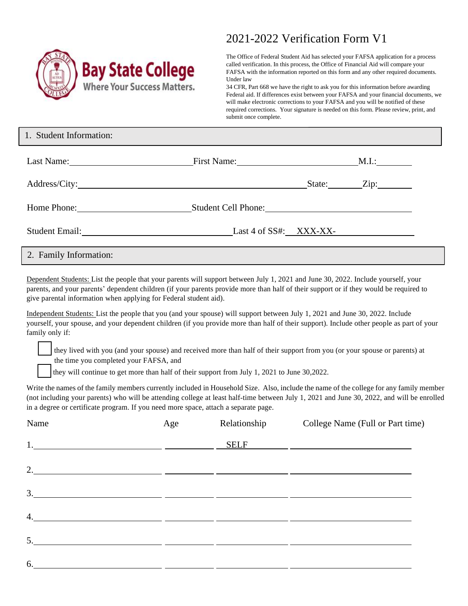

## 2021-2022 Verification Form V1

The Office of Federal Student Aid has selected your FAFSA application for a process called verification. In this process, the Office of Financial Aid will compare your FAFSA with the information reported on this form and any other required documents. Under law

34 CFR, Part 668 we have the right to ask you for this information before awarding Federal aid. If differences exist between your FAFSA and your financial documents, we will make electronic corrections to your FAFSA and you will be notified of these required corrections. Your signature is needed on this form. Please review, print, and submit once complete.

| 1. Student Information:               |                         |                                             |
|---------------------------------------|-------------------------|---------------------------------------------|
| Last Name:                            | First Name: M.I.: M.I.: |                                             |
|                                       |                         | $\text{State:}$ $\qquad \qquad \text{Zip:}$ |
| Home Phone: 2008                      | Student Cell Phone:     |                                             |
| Student Email: Last 4 of SS#: XXX-XX- |                         |                                             |
| 2. Family Information:                |                         |                                             |

Dependent Students: List the people that your parents will support between July 1, 2021 and June 30, 2022. Include yourself, your parents, and your parents' dependent children (if your parents provide more than half of their support or if they would be required to give parental information when applying for Federal student aid).

Independent Students: List the people that you (and your spouse) will support between July 1, 2021 and June 30, 2022. Include yourself, your spouse, and your dependent children (if you provide more than half of their support). Include other people as part of your family only if:

they lived with you (and your spouse) and received more than half of their support from you (or your spouse or parents) at the time you completed your FAFSA, and

they will continue to get more than half of their support from July 1, 2021 to June 30,2022.

Write the names of the family members currently included in Household Size. Also, include the name of the college for any family member (not including your parents) who will be attending college at least half-time between July 1, 2021 and June 30, 2022, and will be enrolled in a degree or certificate program. If you need more space, attach a separate page.

| Name | Age           | Relationship | College Name (Full or Part time) |
|------|---------------|--------------|----------------------------------|
|      | $\frac{1}{1}$ | <b>SELF</b>  |                                  |
|      |               |              |                                  |
|      |               |              |                                  |
|      |               |              |                                  |
|      |               |              |                                  |
| 6.   |               |              |                                  |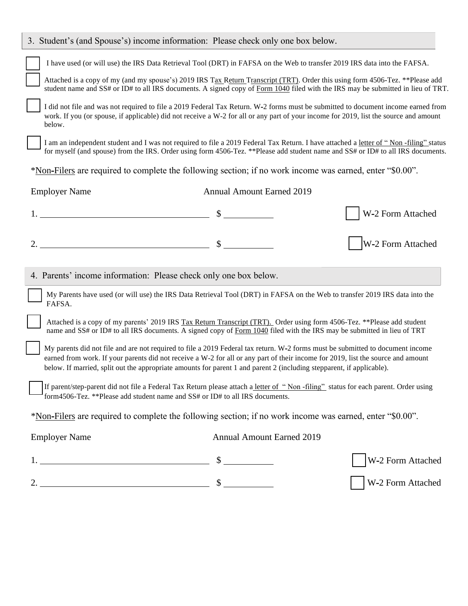| 3. Student's (and Spouse's) income information: Please check only one box below.                                                                                                                                                                                                                                                                                                            |                                  |                   |
|---------------------------------------------------------------------------------------------------------------------------------------------------------------------------------------------------------------------------------------------------------------------------------------------------------------------------------------------------------------------------------------------|----------------------------------|-------------------|
| I have used (or will use) the IRS Data Retrieval Tool (DRT) in FAFSA on the Web to transfer 2019 IRS data into the FAFSA.                                                                                                                                                                                                                                                                   |                                  |                   |
| Attached is a copy of my (and my spouse's) 2019 IRS Tax Return Transcript (TRT). Order this using form 4506-Tez. **Please add<br>student name and SS# or ID# to all IRS documents. A signed copy of Form 1040 filed with the IRS may be submitted in lieu of TRT.                                                                                                                           |                                  |                   |
| I did not file and was not required to file a 2019 Federal Tax Return. W-2 forms must be submitted to document income earned from<br>work. If you (or spouse, if applicable) did not receive a W-2 for all or any part of your income for 2019, list the source and amount<br>below.                                                                                                        |                                  |                   |
| I am an independent student and I was not required to file a 2019 Federal Tax Return. I have attached a letter of "Non-filing" status<br>for myself (and spouse) from the IRS. Order using form 4506-Tez. **Please add student name and SS# or ID# to all IRS documents.                                                                                                                    |                                  |                   |
| *Non-Filers are required to complete the following section; if no work income was earned, enter "\$0.00".                                                                                                                                                                                                                                                                                   |                                  |                   |
| <b>Employer Name</b>                                                                                                                                                                                                                                                                                                                                                                        | <b>Annual Amount Earned 2019</b> |                   |
|                                                                                                                                                                                                                                                                                                                                                                                             |                                  | W-2 Form Attached |
|                                                                                                                                                                                                                                                                                                                                                                                             |                                  | W-2 Form Attached |
| 4. Parents' income information: Please check only one box below.                                                                                                                                                                                                                                                                                                                            |                                  |                   |
| My Parents have used (or will use) the IRS Data Retrieval Tool (DRT) in FAFSA on the Web to transfer 2019 IRS data into the<br>FAFSA.                                                                                                                                                                                                                                                       |                                  |                   |
| Attached is a copy of my parents' 2019 IRS Tax Return Transcript (TRT). Order using form 4506-Tez. **Please add student<br>name and SS# or ID# to all IRS documents. A signed copy of Form 1040 filed with the IRS may be submitted in lieu of TRT                                                                                                                                          |                                  |                   |
| My parents did not file and are not required to file a 2019 Federal tax return. W-2 forms must be submitted to document income<br>earned from work. If your parents did not receive a W-2 for all or any part of their income for 2019, list the source and amount<br>below. If married, split out the appropriate amounts for parent 1 and parent 2 (including stepparent, if applicable). |                                  |                   |
| If parent/step-parent did not file a Federal Tax Return please attach a letter of "Non-filing" status for each parent. Order using<br>form4506-Tez. **Please add student name and SS# or ID# to all IRS documents.                                                                                                                                                                          |                                  |                   |
| *Non-Filers are required to complete the following section; if no work income was earned, enter "\$0.00".                                                                                                                                                                                                                                                                                   |                                  |                   |
| <b>Employer Name</b>                                                                                                                                                                                                                                                                                                                                                                        | <b>Annual Amount Earned 2019</b> |                   |
|                                                                                                                                                                                                                                                                                                                                                                                             |                                  | W-2 Form Attached |
| 2. $\frac{1}{\sqrt{2}}$ $\frac{1}{\sqrt{2}}$ $\frac{1}{\sqrt{2}}$ $\frac{1}{\sqrt{2}}$ $\frac{1}{\sqrt{2}}$ $\frac{1}{\sqrt{2}}$ $\frac{1}{\sqrt{2}}$ $\frac{1}{\sqrt{2}}$ $\frac{1}{\sqrt{2}}$ $\frac{1}{\sqrt{2}}$ $\frac{1}{\sqrt{2}}$ $\frac{1}{\sqrt{2}}$ $\frac{1}{\sqrt{2}}$ $\frac{1}{\sqrt{2}}$ $\frac{1}{\sqrt{2}}$ $\frac{1}{\sqrt{2}}$ $\frac{1}{\sqrt{2$                       |                                  | W-2 Form Attached |